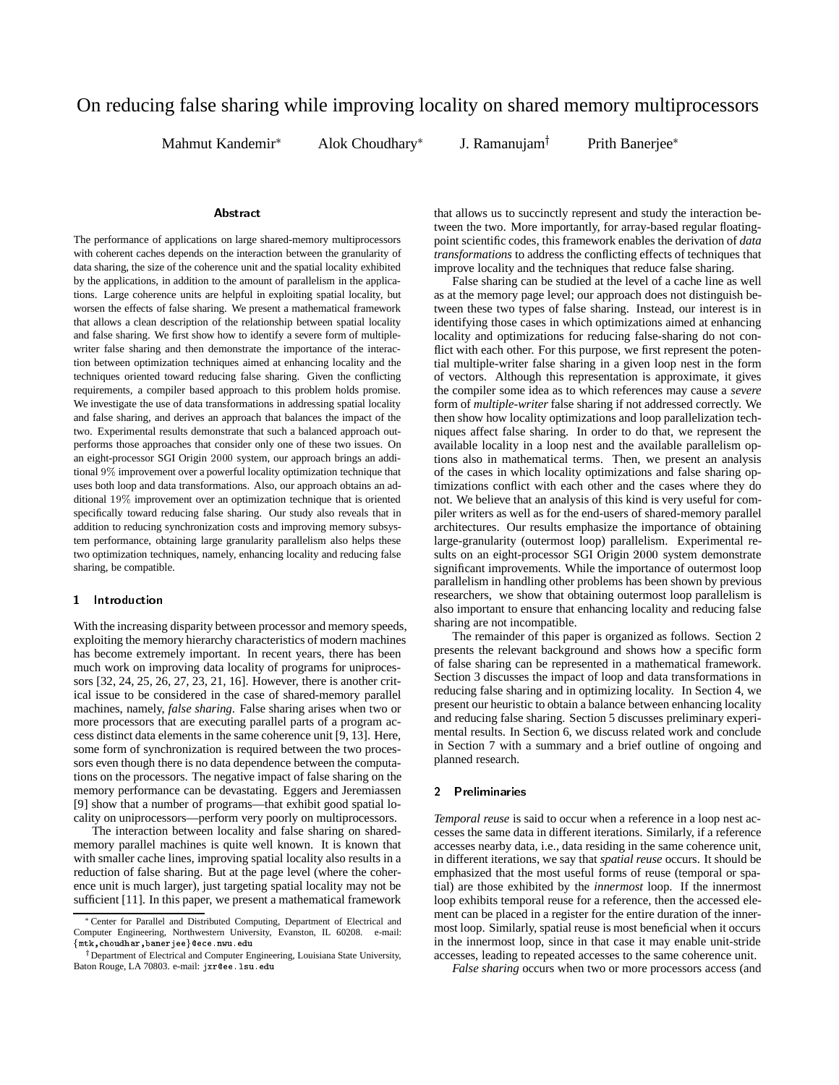# On reducing false sharing while improving locality on shared memory multiprocessors

Mahmut Kandemir

Alok Choudhary

J. Ramanujam $<sup>†</sup>$ </sup>

Prith Banerjee

# Abstract

The performance of applications on large shared-memory multiprocessors with coherent caches depends on the interaction between the granularity of data sharing, the size of the coherence unit and the spatial locality exhibited by the applications, in addition to the amount of parallelism in the applications. Large coherence units are helpful in exploiting spatial locality, but worsen the effects of false sharing. We present a mathematical framework that allows a clean description of the relationship between spatial locality and false sharing. We first show how to identify a severe form of multiplewriter false sharing and then demonstrate the importance of the interaction between optimization techniques aimed at enhancing locality and the techniques oriented toward reducing false sharing. Given the conflicting requirements, a compiler based approach to this problem holds promise. We investigate the use of data transformations in addressing spatial locality and false sharing, and derives an approach that balances the impact of the two. Experimental results demonstrate that such a balanced approach outperforms those approaches that consider only one of these two issues. On an eight-processor SGI Origin <sup>2000</sup> system, our approach brings an additional 9% improvement over a powerful locality optimization technique that uses both loop and data transformations. Also, our approach obtains an additional 19% improvement over an optimization technique that is oriented specifically toward reducing false sharing. Our study also reveals that in addition to reducing synchronization costs and improving memory subsystem performance, obtaining large granularity parallelism also helps these two optimization techniques, namely, enhancing locality and reducing false sharing, be compatible.

# 1 Introduction

With the increasing disparity between processor and memory speeds, exploiting the memory hierarchy characteristics of modern machines has become extremely important. In recent years, there has been much work on improving data locality of programs for uniprocessors [32, 24, 25, 26, 27, 23, 21, 16]. However, there is another critical issue to be considered in the case of shared-memory parallel machines, namely, *false sharing*. False sharing arises when two or more processors that are executing parallel parts of a program access distinct data elements in the same coherence unit [9, 13]. Here, some form of synchronization is required between the two processors even though there is no data dependence between the computations on the processors. The negative impact of false sharing on the memory performance can be devastating. Eggers and Jeremiassen [9] show that a number of programs—that exhibit good spatial locality on uniprocessors—perform very poorly on multiprocessors.

The interaction between locality and false sharing on sharedmemory parallel machines is quite well known. It is known that with smaller cache lines, improving spatial locality also results in a reduction of false sharing. But at the page level (where the coherence unit is much larger), just targeting spatial locality may not be sufficient [11]. In this paper, we present a mathematical framework

that allows us to succinctly represent and study the interaction between the two. More importantly, for array-based regular floatingpoint scientific codes, this framework enables the derivation of *data transformations* to address the conflicting effects of techniques that improve locality and the techniques that reduce false sharing.

False sharing can be studied at the level of a cache line as well as at the memory page level; our approach does not distinguish between these two types of false sharing. Instead, our interest is in identifying those cases in which optimizations aimed at enhancing locality and optimizations for reducing false-sharing do not conflict with each other. For this purpose, we first represent the potential multiple-writer false sharing in a given loop nest in the form of vectors. Although this representation is approximate, it gives the compiler some idea as to which references may cause a *severe* form of *multiple-writer* false sharing if not addressed correctly. We then show how locality optimizations and loop parallelization techniques affect false sharing. In order to do that, we represent the available locality in a loop nest and the available parallelism options also in mathematical terms. Then, we present an analysis of the cases in which locality optimizations and false sharing optimizations conflict with each other and the cases where they do not. We believe that an analysis of this kind is very useful for compiler writers as well as for the end-users of shared-memory parallel architectures. Our results emphasize the importance of obtaining large-granularity (outermost loop) parallelism. Experimental results on an eight-processor SGI Origin <sup>2000</sup> system demonstrate significant improvements. While the importance of outermost loop parallelism in handling other problems has been shown by previous researchers, we show that obtaining outermost loop parallelism is also important to ensure that enhancing locality and reducing false sharing are not incompatible.

The remainder of this paper is organized as follows. Section 2 presents the relevant background and shows how a specific form of false sharing can be represented in a mathematical framework. Section 3 discusses the impact of loop and data transformations in reducing false sharing and in optimizing locality. In Section 4, we present our heuristic to obtain a balance between enhancing locality and reducing false sharing. Section 5 discusses preliminary experimental results. In Section 6, we discuss related work and conclude in Section 7 with a summary and a brief outline of ongoing and planned research.

### **Preliminaries**  $2^{\circ}$

*Temporal reuse* is said to occur when a reference in a loop nest accesses the same data in different iterations. Similarly, if a reference accesses nearby data, i.e., data residing in the same coherence unit, in different iterations, we say that *spatial reuse* occurs. It should be emphasized that the most useful forms of reuse (temporal or spatial) are those exhibited by the *innermost* loop. If the innermost loop exhibits temporal reuse for a reference, then the accessed element can be placed in a register for the entire duration of the innermost loop. Similarly, spatial reuse is most beneficial when it occurs in the innermost loop, since in that case it may enable unit-stride accesses, leading to repeated accesses to the same coherence unit.

*False sharing* occurs when two or more processors access (and

Center for Parallel and Distributed Computing, Department of Electrical and Computer Engineering, Northwestern University, Evanston, IL 60208. e-mail:  $\{\texttt{mtk}, \texttt{choudhar}, \texttt{banerjee}\}$ @ece.nwu.edu

<sup>&</sup>lt;sup>†</sup> Department of Electrical and Computer Engineering, Louisiana State University, Baton Rouge, LA 70803. e-mail: jxr@ee.lsu.edu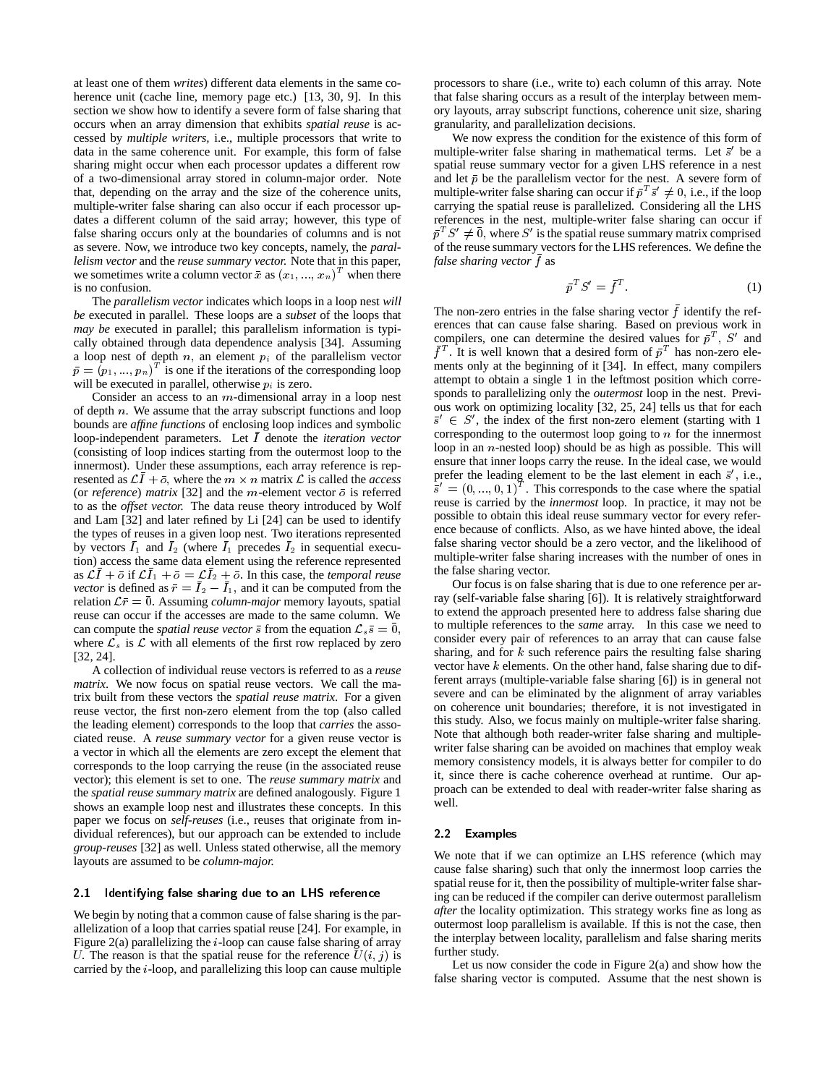at least one of them *writes*) different data elements in the same coherence unit (cache line, memory page etc.) [13, 30, 9]. In this section we show how to identify a severe form of false sharing that occurs when an array dimension that exhibits *spatial reuse* is accessed by *multiple writers,* i.e., multiple processors that write to data in the same coherence unit. For example, this form of false sharing might occur when each processor updates a different row of a two-dimensional array stored in column-major order. Note that, depending on the array and the size of the coherence units, multiple-writer false sharing can also occur if each processor updates a different column of the said array; however, this type of false sharing occurs only at the boundaries of columns and is not as severe. Now, we introduce two key concepts, namely, the *parallelism vector* and the *reuse summary vector.* Note that in this paper, we sometimes write a column vector  $\bar{x}$  as  $(x_1, ..., x_n)^T$  when there is no confusion.

The *parallelism vector* indicates which loops in a loop nest *will be* executed in parallel. These loops are a *subset* of the loops that *may be* executed in parallel; this parallelism information is typically obtained through data dependence analysis [34]. Assuming a loop nest of depth  $n$ , an element  $p_i$  of the parallelism vector  $\bar{p} = (p_1, \ldots, p_n)^T$  is one if the iterations of the corresponding loop will be executed in parallel, otherwise  $p_i$  is zero.

Consider an access to an  $m$ -dimensional array in a loop nest of depth <sup>n</sup>. We assume that the array subscript functions and loop bounds are *affine functions* of enclosing loop indices and symbolic loop-independent parameters. Let  $\overline{I}$  denote the *iteration vector* (consisting of loop indices starting from the outermost loop to the innermost). Under these assumptions, each array reference is represented as  $\mathcal{L}\bar{I} + \bar{o}$ , where the  $m \times n$  matrix  $\mathcal L$  is called the *access* (or *reference*) *matrix* [32] and the *m*-element vector  $\bar{o}$  is referred to as the *offset vector.* The data reuse theory introduced by Wolf and Lam [32] and later refined by Li [24] can be used to identify the types of reuses in a given loop nest. Two iterations represented by vectors  $I_1$  and  $I_2$  (where  $I_1$  precedes  $I_2$  in sequential execution) access the same data element using the reference represented as  $\mathcal{L}I + \bar{\sigma}$  if  $\mathcal{L}I_1 + \bar{\sigma} = \mathcal{L}I_2 + \bar{\sigma}$ . In this case, the *temporal reuse vector* is defined as  $\bar{r} = I_2 - I_1$ , and it can be computed from the relation  $\mathcal{L}\bar{r} = \bar{0}$ . Assuming *column-major* memory layouts, spatial reuse can occur if the accesses are made to the same column. We can compute the *spatial reuse vector*  $\bar{s}$  from the equation  $\mathcal{L}_s \bar{s} = \bar{0}$ , where  $\mathcal{L}_s$  is  $\mathcal L$  with all elements of the first row replaced by zero [32, 24].

A collection of individual reuse vectors is referred to as a *reuse matrix*. We now focus on spatial reuse vectors. We call the matrix built from these vectors the *spatial reuse matrix*. For a given reuse vector, the first non-zero element from the top (also called the leading element) corresponds to the loop that *carries* the associated reuse. A *reuse summary vector* for a given reuse vector is a vector in which all the elements are zero except the element that corresponds to the loop carrying the reuse (in the associated reuse vector); this element is set to one. The *reuse summary matrix* and the *spatial reuse summary matrix* are defined analogously. Figure 1 shows an example loop nest and illustrates these concepts. In this paper we focus on *self-reuses* (i.e., reuses that originate from individual references), but our approach can be extended to include *group-reuses* [32] as well. Unless stated otherwise, all the memory layouts are assumed to be *column-major.*

### 2.1 Identifying false sharing due to an LHS reference

We begin by noting that a common cause of false sharing is the parallelization of a loop that carries spatial reuse [24]. For example, in Figure 2(a) parallelizing the  $i$ -loop can cause false sharing of array U. The reason is that the spatial reuse for the reference  $U(i, j)$  is carried by the <sup>i</sup>-loop, and parallelizing this loop can cause multiple

processors to share (i.e., write to) each column of this array. Note that false sharing occurs as a result of the interplay between memory layouts, array subscript functions, coherence unit size, sharing granularity, and parallelization decisions.

We now express the condition for the existence of this form of multiple-writer false sharing in mathematical terms. Let  $\bar{s}'$  be a spatial reuse summary vector for a given LHS reference in a nest and let  $\bar{p}$  be the parallelism vector for the nest. A severe form of multiple-writer false sharing can occur if  $\bar{p}^T \bar{s}' \neq 0$ , i.e., if the loop carrying the spatial reuse is parallelized. Considering all the LHS references in the nest, multiple-writer false sharing can occur if  $\bar{p}^T S' \neq 0$ , where S' is the spatial reuse summary matrix comprised of the reuse summary vectors for the LHS references. We define the *false sharing vector* f as

$$
\bar{p}^T S' = \bar{f}^T. \tag{1}
$$

The non-zero entries in the false sharing vector  $f$  identify the references that can cause false sharing. Based on previous work in compilers, one can determine the desired values for  $\bar{p}^T$ , S' and  $f<sup>T</sup>$ . It is well known that a desired form of  $\bar{p}^T$  has non-zero elements only at the beginning of it [34]. In effect, many compilers attempt to obtain a single <sup>1</sup> in the leftmost position which corresponds to parallelizing only the *outermost* loop in the nest. Previous work on optimizing locality [32, 25, 24] tells us that for each  $\bar{s}' \in S'$ , the index of the first non-zero element (starting with 1 corresponding to the outermost loop going to  $n$  for the innermost loop in an *n*-nested loop) should be as high as possible. This will ensure that inner loops carry the reuse. In the ideal case, we would prefer the leading element to be the last element in each  $\bar{s}'$ , i.e.,  $\bar{s}' = (0, ..., 0, 1)^T$ . This corresponds to the case where the spatial reuse is carried by the *innermost* loop. In practice, it may not be possible to obtain this ideal reuse summary vector for every reference because of conflicts. Also, as we have hinted above, the ideal false sharing vector should be a zero vector, and the likelihood of multiple-writer false sharing increases with the number of ones in the false sharing vector.

Our focus is on false sharing that is due to one reference per array (self-variable false sharing [6]). It is relatively straightforward to extend the approach presented here to address false sharing due to multiple references to the *same* array. In this case we need to consider every pair of references to an array that can cause false sharing, and for  $k$  such reference pairs the resulting false sharing vector have  $k$  elements. On the other hand, false sharing due to different arrays (multiple-variable false sharing [6]) is in general not severe and can be eliminated by the alignment of array variables on coherence unit boundaries; therefore, it is not investigated in this study. Also, we focus mainly on multiple-writer false sharing. Note that although both reader-writer false sharing and multiplewriter false sharing can be avoided on machines that employ weak memory consistency models, it is always better for compiler to do it, since there is cache coherence overhead at runtime. Our approach can be extended to deal with reader-writer false sharing as well.

# 2.2 Examples

We note that if we can optimize an LHS reference (which may cause false sharing) such that only the innermost loop carries the spatial reuse for it, then the possibility of multiple-writer false sharing can be reduced if the compiler can derive outermost parallelism *after* the locality optimization. This strategy works fine as long as outermost loop parallelism is available. If this is not the case, then the interplay between locality, parallelism and false sharing merits further study.

Let us now consider the code in Figure 2(a) and show how the false sharing vector is computed. Assume that the nest shown is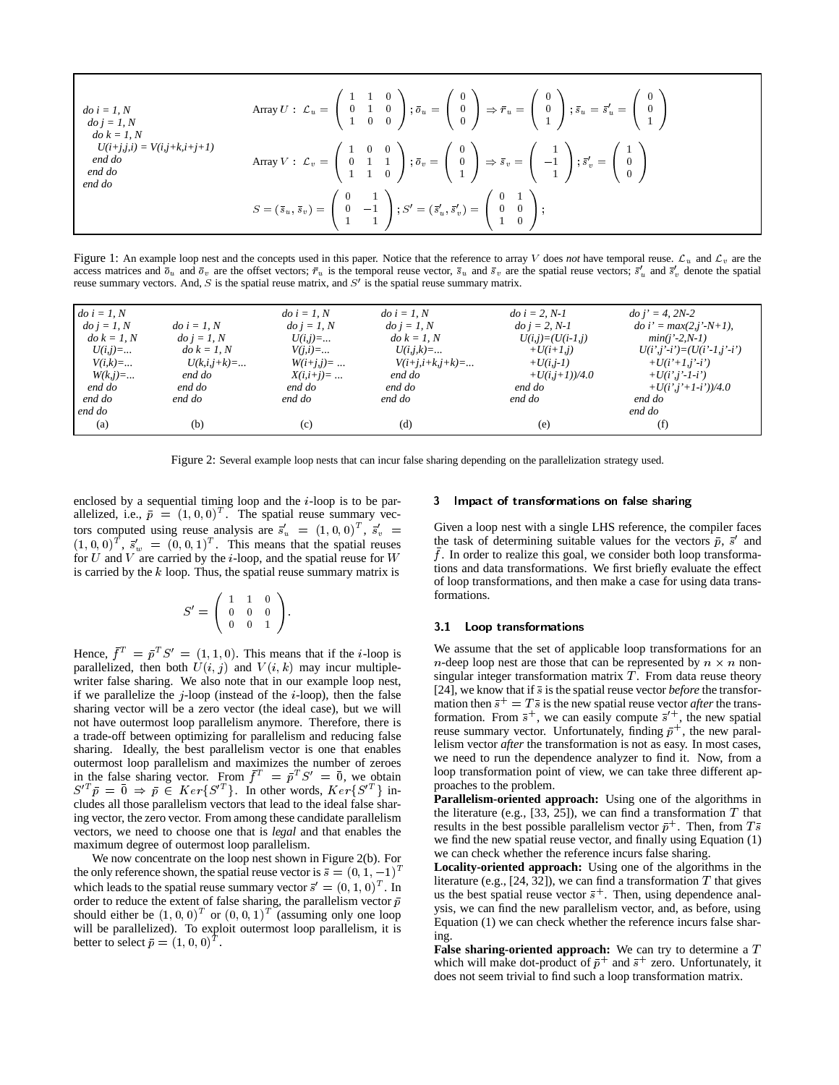$$
do i = 1, N
$$
  
\n
$$
do j = 1, N
$$
  
\n
$$
do j = 1, N
$$
  
\n
$$
do k = 1, N
$$
  
\n
$$
U(i+j,j,i) = V(i,j+k,i+j+1)
$$
  
\n
$$
U(i+j,i,i) = V(i,j+k,i+j+1)
$$
  
\n
$$
end do
$$
  
\n
$$
Array V : \mathcal{L}_v = \begin{pmatrix} 1 & 0 & 0 \\ 0 & 1 & 1 \\ 1 & 1 & 0 \end{pmatrix}; \sigma_v = \begin{pmatrix} 0 \\ 0 \\ 1 \end{pmatrix} \Rightarrow \sigma_v = \begin{pmatrix} 1 \\ -1 \\ 1 \end{pmatrix}; s'_v = \begin{pmatrix} 1 \\ 0 \\ 0 \end{pmatrix}
$$
  
\n
$$
end do
$$
  
\n
$$
S = (s_u, s_v) = \begin{pmatrix} 0 & 1 \\ 0 & -1 \\ 1 & 1 \end{pmatrix}; S' = (s'_u, s'_v) = \begin{pmatrix} 0 & 1 \\ 0 & 0 \\ 1 & 0 \end{pmatrix};
$$

Figure 1: An example loop nest and the concepts used in this paper. Notice that the reference to array V does *not* have temporal reuse.  $\mathcal{L}_u$  and  $\mathcal{L}_v$  are the access matrices and  $\bar{\sigma}_u$  and  $\bar{\sigma}_v$  are the offset vectors;  $\bar{r}_u$  is the temporal reuse vector,  $\bar{s}_u$  and  $\bar{s}_v$  are the spatial reuse vectors;  $\bar{s}'_u$  and  $\bar{s}'_v$  denote the spatial reuse summary vectors. And,  $S$  is the spatial reuse matrix, and  $S'$  is the spatial reuse summary matrix.

| $do$ $i = 1, N$ |                 | $do$ $i = 1, N$ | $do$ i = 1, N      | $do i = 2, N-1$     | $do i' = 4, 2N-2$              |
|-----------------|-----------------|-----------------|--------------------|---------------------|--------------------------------|
| $do$ $i = 1, N$ | $do$ $i = 1, N$ | $do$ $i = 1, N$ | $do$ $i = 1, N$    | $do i = 2, N-1$     | $do i' = max(2, i' - N + 1)$ , |
| $do k = 1, N$   | $do$ $i = 1, N$ | $U(i,j) = $     | $d\sigma k = 1, N$ | $U(i,j)=(U(i-1,j))$ | $min(i'-2,N-1)$                |
| $U(i,j) = $     | $do k = 1, N$   | $V(i,i)=$       | $U(i,j,k)=$        | $+U(i+1,i)$         | $U(i',j'-i')=(U(i'-1,j'-i')$   |
| $V(i,k)=$       | $U(k,i,j+k)=$   | $W(i+j,j)=$     | $V(i+j,i+k,j+k)=$  | $+U(i,j-1)$         | $+U(i'+1,j'-i')$               |
| $W(k, j) = $    | end do          | $X(i,i+j)=$     | end do             | $+U(i,j+1)/4.0$     | $+U(i',j'-1-i')$               |
| end do          | end do          | end do          | end do             | end do              | $+U(i',i'+1-i'))/4.0$          |
| end do          | end do          | end do          | end do             | end do              | end do                         |
| end do          |                 |                 |                    |                     | end do                         |
| (a)             | (b)             | (c)             | (d)                | (e)                 | (f)                            |

Figure 2: Several example loop nests that can incur false sharing depending on the parallelization strategy used.

enclosed by a sequential timing loop and the i-loop is to be parallelized, i.e.,  $\bar{p} = (1, 0, 0)^T$ . The spatial reuse summary vectors computed using reuse analysis are  $\bar{s}'_u = (1,0,0)^T$ ,  $\bar{s}'_v =$  $(1,0,0)^T$ ,  $\bar{s}'_w = (0,0,1)^T$ . This means that the spatial reuses for  $U$  and  $V$  are carried by the  $i$ -loop, and the spatial reuse for  $W$ is carried by the  $k$  loop. Thus, the spatial reuse summary matrix is

$$
S' = \left(\begin{array}{ccc} 1 & 1 & 0 \\ 0 & 0 & 0 \\ 0 & 0 & 1 \end{array}\right).
$$

Hence,  $f^T = \bar{p}^T S' = (1, 1, 0)$ . This means that if the *i*-loop is parallelized, then both  $U(i, j)$  and  $V(i, k)$  may incur multiplewriter false sharing. We also note that in our example loop nest, if we parallelize the  $j$ -loop (instead of the  $i$ -loop), then the false sharing vector will be a zero vector (the ideal case), but we will not have outermost loop parallelism anymore. Therefore, there is a trade-off between optimizing for parallelism and reducing false sharing. Ideally, the best parallelism vector is one that enables outermost loop parallelism and maximizes the number of zeroes in the false sharing vector. From  $f^T = \bar{p}^T S' = \bar{0}$ , we obtain  $S'^T \bar{p} = \bar{0} \Rightarrow \bar{p} \in Ker\{S'^T\}$ . In other words,  $Ker\{S'^T\}$  includes all those parallelism vectors that lead to the ideal false sharing vector, the zero vector. From among these candidate parallelism vectors, we need to choose one that is *legal* and that enables the maximum degree of outermost loop parallelism.

We now concentrate on the loop nest shown in Figure 2(b). For the only reference shown, the spatial reuse vector is  $\bar{s} = (0, 1, -1)^T$ which leads to the spatial reuse summary vector  $\bar{s}' = (0, 1, 0)^T$ . In order to reduce the extent of false sharing, the parallelism vector  $\bar{p}$ should either be  $(1,0,0)^T$  or  $(0,0,1)^T$  (assuming only one loop will be parallelized). To exploit outermost loop parallelism, it is better to select  $\bar{p} = (1, 0, 0)^T$ .

#### $3<sup>1</sup>$ Impact of transformations on false sharing

 $v_v$  = Given a loop nest with a single LHS reference, the compiler faces the task of determining suitable values for the vectors  $\bar{p}$ ,  $\bar{s}'$  and f. In order to realize this goal, we consider both loop transformations and data transformations. We first briefly evaluate the effect of loop transformations, and then make a case for using data transformations.

# 3.1 Loop transformations

We assume that the set of applicable loop transformations for an *n*-deep loop nest are those that can be represented by  $n \times n$  nonsingular integer transformation matrix  $T$ . From data reuse theory [24], we know that if  $\bar{s}$  is the spatial reuse vector *before* the transformation then  $\bar{s}^+ = T\bar{s}$  is the new spatial reuse vector *after* the transformation. From  $\bar{s}^+$ , we can easily compute  $\bar{s}^{\prime +}$ , the new spatial reuse summary vector. Unfortunately, finding  $\bar{p}^+$ , the new parallelism vector *after* the transformation is not as easy. In most cases, we need to run the dependence analyzer to find it. Now, from a loop transformation point of view, we can take three different approaches to the problem.

**Parallelism-oriented approach:** Using one of the algorithms in the literature (e.g., [33, 25]), we can find a transformation  $T$  that results in the best possible parallelism vector  $\bar{p}^+$ . Then, from  $T\bar{s}$ we find the new spatial reuse vector, and finally using Equation (1) we can check whether the reference incurs false sharing.

**Locality-oriented approach:** Using one of the algorithms in the literature (e.g., [24, 32]), we can find a transformation  $T$  that gives us the best spatial reuse vector  $\bar{s}^+$ . Then, using dependence analysis, we can find the new parallelism vector, and, as before, using Equation (1) we can check whether the reference incurs false sharing.

**False sharing-oriented approach:** We can try to determine a <sup>T</sup> which will make dot-product of  $\bar{p}^+$  and  $\bar{s}^+$  zero. Unfortunately, it does not seem trivial to find such a loop transformation matrix.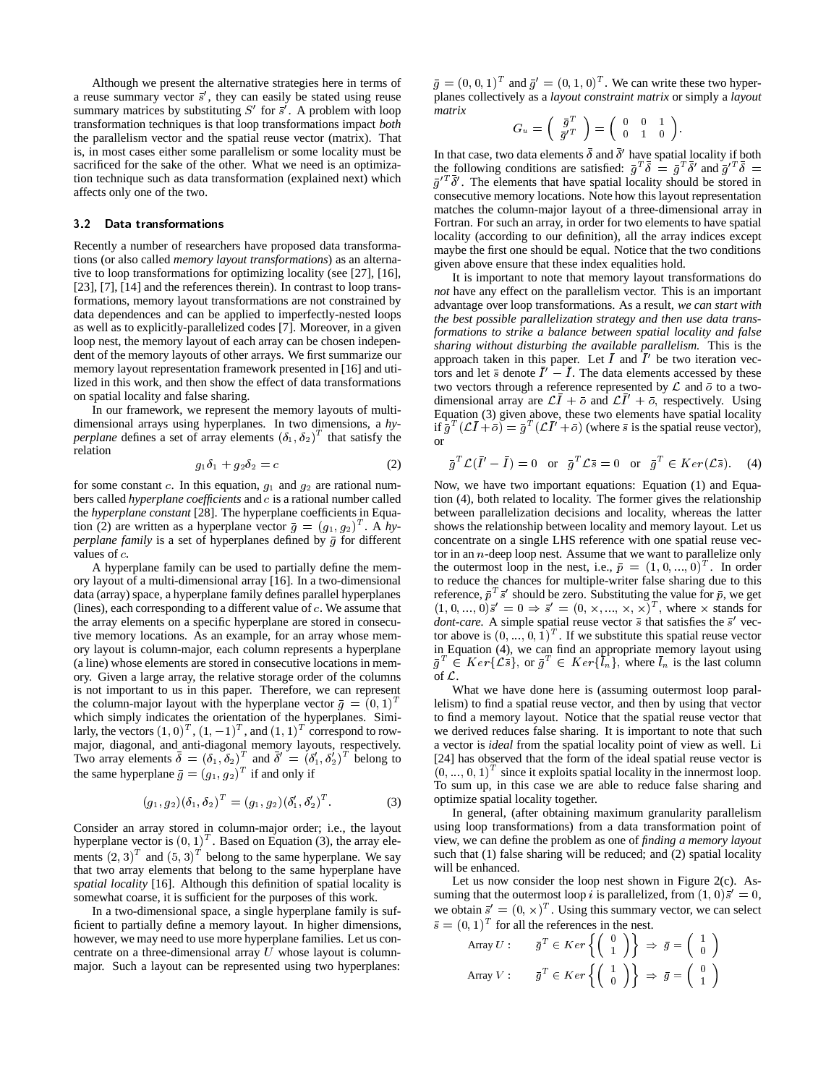Although we present the alternative strategies here in terms of a reuse summary vector  $\bar{s}'$ , they can easily be stated using reuse summary matrices by substituting  $S'$  for  $\bar{s}'$ . A problem with loop transformation techniques is that loop transformations impact *both* the parallelism vector and the spatial reuse vector (matrix). That is, in most cases either some parallelism or some locality must be sacrificed for the sake of the other. What we need is an optimization technique such as data transformation (explained next) which affects only one of the two.

# 3.2 Data transformations

Recently a number of researchers have proposed data transformations (or also called *memory layout transformations*) as an alternative to loop transformations for optimizing locality (see [27], [16], [23], [7], [14] and the references therein). In contrast to loop transformations, memory layout transformations are not constrained by data dependences and can be applied to imperfectly-nested loops as well as to explicitly-parallelized codes [7]. Moreover, in a given loop nest, the memory layout of each array can be chosen independent of the memory layouts of other arrays. We first summarize our memory layout representation framework presented in [16] and utilized in this work, and then show the effect of data transformations on spatial locality and false sharing.

In our framework, we represent the memory layouts of multidimensional arrays using hyperplanes. In two dimensions, a *hyperplane* defines a set of array elements  $(\delta_1, \delta_2)^T$  that satisfy the relation

$$
g_1\delta_1 + g_2\delta_2 = c \tag{2}
$$

for some constant c. In this equation,  $g_1$  and  $g_2$  are rational numbers called *hyperplane coefficients* and c is a rational number called the *hyperplane constant* [28]. The hyperplane coefficients in Equation (2) are written as a hyperplane vector  $\bar{g} = (g_1, g_2)^T$ . A *hyperplane family* is a set of hyperplanes defined by  $\bar{g}$  for different values of  $c$ .

A hyperplane family can be used to partially define the memory layout of a multi-dimensional array [16]. In a two-dimensional data (array) space, a hyperplane family defines parallel hyperplanes (lines), each corresponding to a different value of  $c$ . We assume that the array elements on a specific hyperplane are stored in consecutive memory locations. As an example, for an array whose memory layout is column-major, each column represents a hyperplane (a line) whose elements are stored in consecutive locations in memory. Given a large array, the relative storage order of the columns is not important to us in this paper. Therefore, we can represent the column-major layout with the hyperplane vector  $\bar{g} = (0, 1)^T$ which simply indicates the orientation of the hyperplanes. Similarly, the vectors  $(1,0)^T$  ,  $(1,-1)^T$  , and  $(1,1)^T$  correspond to rowmajor, diagonal, and anti-diagonal memory layouts, respectively. Two array elements  $\delta = (\delta_1, \delta_2)^T$  and  $\delta' = (\delta'_1, \delta'_2)^T$  belong to the same hyperplane  $\bar{g} = (g_1, g_2)^T$  if and only if

$$
(g_1, g_2)(\delta_1, \delta_2)^T = (g_1, g_2)(\delta'_1, \delta'_2)^T.
$$
 (3)

Consider an array stored in column-major order; i.e., the layout hyperplane vector is  $(0, 1)^T$ . Based on Equation (3), the array elements  $(2, 3)^T$  and  $(5, 3)^T$  belong to the same hyperplane. We say that two array elements that belong to the same hyperplane have *spatial locality* [16]. Although this definition of spatial locality is somewhat coarse, it is sufficient for the purposes of this work.

In a two-dimensional space, a single hyperplane family is sufficient to partially define a memory layout. In higher dimensions, however, we may need to use more hyperplane families. Let us concentrate on a three-dimensional array  $U$  whose layout is columnmajor. Such a layout can be represented using two hyperplanes:

 $\bar{g} = (0,0,1)^T$  and  $\bar{g}' = (0,1,0)^T$ . We can write these two hyperplanes collectively as a *layout constraint matrix* or simply a *layout matrix*

$$
G_u=\left(\begin{array}{c} \bar{g}^T\\ \bar{g}'^T\end{array}\right)=\left(\begin{array}{ccc} 0 & 0 & 1\\ 0 & 1 & 0\end{array}\right).
$$

In that case, two data elements  $\delta$  and  $\delta'$  have spatial locality if both the following conditions are satisfied:  $\bar{g}^T \delta = \bar{g}^T \delta'$  and  $\bar{g}^T \delta =$  $\bar{g}^T \delta'$ . The elements that have spatial locality should be stored in consecutive memory locations. Note how this layout representation matches the column-major layout of a three-dimensional array in Fortran. For such an array, in order for two elements to have spatial locality (according to our definition), all the array indices except maybe the first one should be equal. Notice that the two conditions given above ensure that these index equalities hold.

It is important to note that memory layout transformations do *not* have any effect on the parallelism vector. This is an important advantage over loop transformations. As a result, *we can start with the best possible parallelization strategy and then use data transformations to strike a balance between spatial locality and false sharing without disturbing the available parallelism.* This is the approach taken in this paper. Let  $\overline{I}$  and  $\overline{I}'$  be two iteration vectors and let  $\bar{s}$  denote  $I' - I$ . The data elements accessed by these two vectors through a reference represented by  $\mathcal L$  and  $\bar{\sigma}$  to a twodimensional array are  $\mathcal{L}I + \bar{\sigma}$  and  $\mathcal{L}I' + \bar{\sigma}$ , respectively. Using Equation (3) given above, these two elements have spatial locality if  $\bar{g}^T(\mathcal{L}I+\bar{o})=\bar{g}^T(\mathcal{L}I'+\bar{o})$  (where  $\bar{s}$  is the spatial reuse vector), or

$$
\bar{g}^T \mathcal{L}(\bar{I}' - \bar{I}) = 0 \quad \text{or} \quad \bar{g}^T \mathcal{L}\bar{s} = 0 \quad \text{or} \quad \bar{g}^T \in Ker(\mathcal{L}\bar{s}). \tag{4}
$$

Now, we have two important equations: Equation (1) and Equation (4), both related to locality. The former gives the relationship between parallelization decisions and locality, whereas the latter shows the relationship between locality and memory layout. Let us concentrate on a single LHS reference with one spatial reuse vector in an *n*-deep loop nest. Assume that we want to parallelize only the outermost loop in the nest, i.e.,  $\bar{p} = (1, 0, ..., 0)^T$ . In order to reduce the chances for multiple-writer false sharing due to this reference,  $\bar{p}^T \bar{s}'$  should be zero. Substituting the value for  $\bar{p}$ , we get  $(1,0,...,0)$   $\bar{s}'=0 \Rightarrow \bar{s}'=(0,\times,...,\times,\times)^T$ , where  $\times$  stands for *dont-care.* A simple spatial reuse vector  $\bar{s}$  that satisfies the  $\bar{s}'$  vector above is  $(0, ..., 0, 1)^T$ . If we substitute this spatial reuse vector in Equation (4), we can find an appropriate memory layout using  $\bar{g}^T \in Ker\{\mathcal{L}\bar{s}\}, \text{ or } \bar{g}^T \in Ker\{l_n\}, \text{ where } l_n \text{ is the last column}$ of <sup>L</sup>.

What we have done here is (assuming outermost loop parallelism) to find a spatial reuse vector, and then by using that vector to find a memory layout. Notice that the spatial reuse vector that we derived reduces false sharing. It is important to note that such a vector is *ideal* from the spatial locality point of view as well. Li [24] has observed that the form of the ideal spatial reuse vector is  $(0, \ldots, 0, 1)^T$  since it exploits spatial locality in the innermost loop. To sum up, in this case we are able to reduce false sharing and optimize spatial locality together.

In general, (after obtaining maximum granularity parallelism using loop transformations) from a data transformation point of view, we can define the problem as one of *finding a memory layout* such that (1) false sharing will be reduced; and (2) spatial locality will be enhanced.

Let us now consider the loop nest shown in Figure 2(c). Assuming that the outermost loop *i* is parallelized, from  $(1,0)$   $\bar{s}' = 0$ , we obtain  $\bar{s}' = (0, x)^T$ . Using this summary vector, we can select  $\bar{s} = (0, 1)^T$  for all the references in the nest.

Array 
$$
U
$$
:  $\bar{g}^T \in Ker \left\{ \begin{pmatrix} 0 \\ 1 \end{pmatrix} \right\} \Rightarrow \bar{g} = \begin{pmatrix} 1 \\ 0 \end{pmatrix}$   
Array  $V$ :  $\bar{g}^T \in Ker \left\{ \begin{pmatrix} 1 \\ 0 \end{pmatrix} \right\} \Rightarrow \bar{g} = \begin{pmatrix} 0 \\ 1 \end{pmatrix}$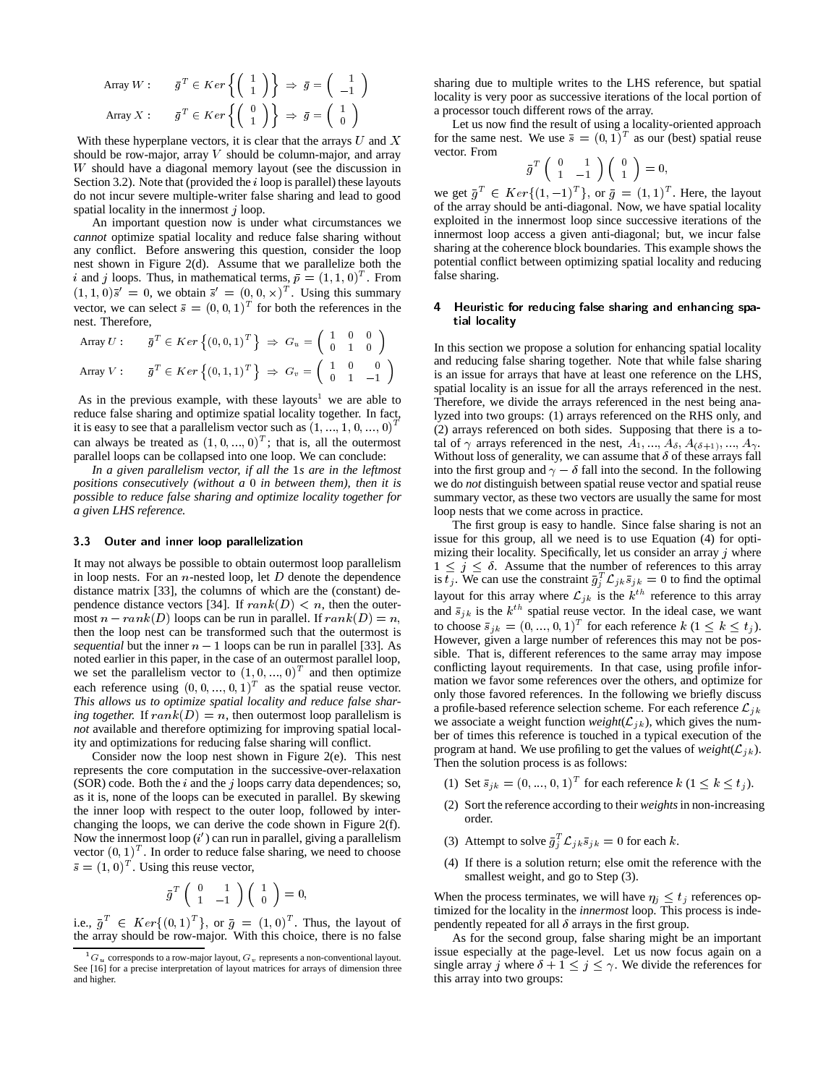$$
\begin{aligned}\n\text{Array } W: \qquad \bar{g}^T \in \operatorname{Ker} \left\{ \begin{pmatrix} 1 \\ 1 \end{pmatrix} \right\} &\Rightarrow \bar{g} = \begin{pmatrix} 1 \\ -1 \end{pmatrix} \\
\text{Array } X: \qquad \bar{g}^T \in \operatorname{Ker} \left\{ \begin{pmatrix} 0 \\ 1 \end{pmatrix} \right\} &\Rightarrow \bar{g} = \begin{pmatrix} 1 \\ 0 \end{pmatrix}\n\end{aligned}
$$

With these hyperplane vectors, it is clear that the arrays  $U$  and  $X$ should be row-major, array  $V$  should be column-major, and array W should have a diagonal memory layout (see the discussion in Section 3.2). Note that (provided the  $i$  loop is parallel) these layouts do not incur severe multiple-writer false sharing and lead to good spatial locality in the innermost  $j$  loop.

An important question now is under what circumstances we *cannot* optimize spatial locality and reduce false sharing without any conflict. Before answering this question, consider the loop nest shown in Figure 2(d). Assume that we parallelize both the i and j loops. Thus, in mathematical terms,  $\bar{p} = (1, 1, 0)^T$ . From  $(1,1,0)\bar{s}'=0$ , we obtain  $\bar{s}'=(0,0,\times)^T$ . Using this summary vector, we can select  $\bar{s} = (0, 0, 1)^T$  for both the references in the nest. Therefore,

Array 
$$
U
$$
:  $\bar{g}^T \in Ker \{(0, 0, 1)^T\} \Rightarrow G_u = \begin{pmatrix} 1 & 0 & 0 \\ 0 & 1 & 0 \end{pmatrix}$   
Array  $V$ :  $\bar{g}^T \in Ker \{(0, 1, 1)^T\} \Rightarrow G_v = \begin{pmatrix} 1 & 0 & 0 \\ 0 & 1 & -1 \end{pmatrix}$  and

As in the previous example, with these layouts<sup>1</sup> we are able to reduce false sharing and optimize spatial locality together. In fact, it is easy to see that a parallelism vector such as  $(1, ..., 1, 0, ..., 0)^T$ can always be treated as  $(1, 0, \ldots, 0)^T$ ; that is, all the outermost parallel loops can be collapsed into one loop. We can conclude:

*In a given parallelism vector, if all the* <sup>1</sup>*s are in the leftmost positions consecutively (without a* <sup>0</sup> *in between them), then it is possible to reduce false sharing and optimize locality together for a given LHS reference.*

### 3.3 Outer and inner loop parallelization

It may not always be possible to obtain outermost loop parallelism in loop nests. For an *n*-nested loop, let  $D$  denote the dependence distance matrix [33], the columns of which are the (constant) dependence distance vectors [34]. If  $rank(D) < n$ , then the outermost  $n - rank(D)$  loops can be run in parallel. If  $rank(D) = n$ , then the loop nest can be transformed such that the outermost is *sequential* but the inner  $n - 1$  loops can be run in parallel [33]. As noted earlier in this paper, in the case of an outermost parallel loop, we set the parallelism vector to  $(1, 0, ..., 0)^T$  and then optimize each reference using  $(0,0,...,0,1)^T$  as the spatial reuse vector. *This allows us to optimize spatial locality and reduce false sharing together.* If  $rank(D) = n$ , then outermost loop parallelism is *not* available and therefore optimizing for improving spatial locality and optimizations for reducing false sharing will conflict.

Consider now the loop nest shown in Figure 2(e). This nest represents the core computation in the successive-over-relaxation (SOR) code. Both the  $i$  and the  $j$  loops carry data dependences; so, as it is, none of the loops can be executed in parallel. By skewing the inner loop with respect to the outer loop, followed by interchanging the loops, we can derive the code shown in Figure 2(f). Now the innermost loop  $(i')$  can run in parallel, giving a parallelism vector  $(0, 1)^T$ . In order to reduce false sharing, we need to choose  $\bar{s} = (1, 0)^T$ . Using this reuse vector,

$$
\bar{g}^T \left( \begin{array}{cc} 0 & 1 \\ 1 & -1 \end{array} \right) \left( \begin{array}{c} 1 \\ 0 \end{array} \right) = 0,
$$

i.e.,  $\bar{g}^T \in Ker\{(0,1)^T\}$ , or  $\bar{g} = (1,0)^T$ . Thus, the layout of the array should be row-major. With this choice, there is no false sharing due to multiple writes to the LHS reference, but spatial locality is very poor as successive iterations of the local portion of a processor touch different rows of the array.

Let us now find the result of using a locality-oriented approach for the same nest. We use  $\bar{s} = (0,1)^T$  as our (best) spatial reuse vector. From

$$
\bar{g}^T\left(\begin{array}{cc} 0 & 1 \\ 1 & -1 \end{array}\right)\left(\begin{array}{c} 0 \\ 1 \end{array}\right)=0,
$$

we get  $\bar{g}^T \in \text{Ker}\{(1,-1)^T\}$ , or  $\bar{g} = (1,1)^T$ . Here, the layout of the array should be anti-diagonal. Now, we have spatial locality exploited in the innermost loop since successive iterations of the innermost loop access a given anti-diagonal; but, we incur false sharing at the coherence block boundaries. This example shows the potential conflict between optimizing spatial locality and reducing false sharing.

### Heuristic for reducing false sharing and enhancing spa- $\overline{4}$ tial locality

 $\begin{bmatrix} 1 & 0 & 0 \\ 0 & 1 & -1 \end{bmatrix}$  is an issue for arrays that have at least one reference on the LHS, In this section we propose a solution for enhancing spatial locality and reducing false sharing together. Note that while false sharing spatial locality is an issue for all the arrays referenced in the nest. Therefore, we divide the arrays referenced in the nest being analyzed into two groups: (1) arrays referenced on the RHS only, and (2) arrays referenced on both sides. Supposing that there is a total of  $\gamma$  arrays referenced in the nest,  $\overline{A_1}, ..., \overline{A_\delta}, A_{(\delta+1)}, ..., A_\gamma$ . Without loss of generality, we can assume that  $\delta$  of these arrays fall into the first group and  $\gamma - \delta$  fall into the second. In the following we do *not* distinguish between spatial reuse vector and spatial reuse summary vector, as these two vectors are usually the same for most loop nests that we come across in practice.

The first group is easy to handle. Since false sharing is not an issue for this group, all we need is to use Equation (4) for optimizing their locality. Specifically, let us consider an array  $j$  where  $1 \leq j \leq \delta$ . Assume that the number of references to this array is  $t_j$ . We can use the constraint  $\bar{g}_i^T \mathcal{L}_{jk} \bar{s}_{jk} = 0$  to find the optimal layout for this array where  $\mathcal{L}_{ik}$  is the  $k^{th}$  reference to this array and  $\bar{s}_{jk}$  is the  $k^{th}$  spatial reuse vector. In the ideal case, we want to choose  $\bar{s}_{jk} = (0, ..., 0, 1)^T$  for each reference  $k$   $(1 \leq k \leq t_j)$ . However, given a large number of references this may not be possible. That is, different references to the same array may impose conflicting layout requirements. In that case, using profile information we favor some references over the others, and optimize for only those favored references. In the following we briefly discuss a profile-based reference selection scheme. For each reference  $\mathcal{L}_{ik}$ we associate a weight function  $weight(\mathcal{L}_{jk})$ , which gives the number of times this reference is touched in a typical execution of the program at hand. We use profiling to get the values of  $weight(\mathcal{L}_{ik})$ . Then the solution process is as follows:

- (1) Set  $\overline{s}_{jk} = (0, \ldots, 0, 1)^T$  for each reference  $k$   $(1 \leq k \leq t_j)$ .
- (2) Sort the reference according to their *weights*in non-increasing order.
- (3) Attempt to solve  $\bar{g}_i^T \mathcal{L}_{ik} \bar{s}_{jk} = 0$  for each k.
- (4) If there is a solution return; else omit the reference with the smallest weight, and go to Step  $(3)$ .

When the process terminates, we will have  $\eta_j \leq t_j$  references optimized for the locality in the *innermost* loop. This process is independently repeated for all  $\delta$  arrays in the first group.

As for the second group, false sharing might be an important issue especially at the page-level. Let us now focus again on a single array j where  $\delta + 1 \leq j \leq \gamma$ . We divide the references for this array into two groups:

 ${}^{1}G_u$  corresponds to a row-major layout,  $G_v$  represents a non-conventional layout. See [16] for a precise interpretation of layout matrices for arrays of dimension three and higher.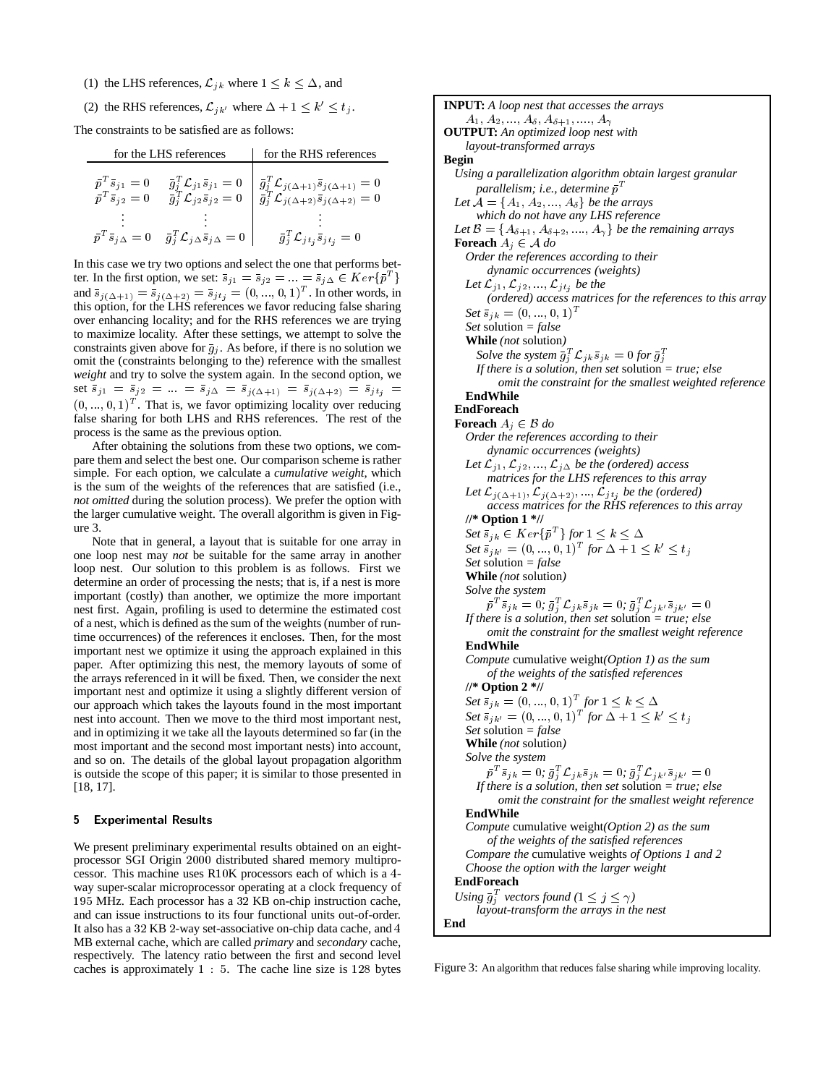(1) the LHS references,  $\mathcal{L}_{ik}$  where  $1 \leq k \leq \Delta$ , and

(2) the RHS references,  $\mathcal{L}_{ik'}$  where  $\Delta + 1 \leq k' \leq t_j$ .

The constraints to be satisfied are as follows:

| for the LHS references | for the RHS references                                                                                                                                                                                                                                                                                                                                                                                                                                                                                                                |  |  |  |  |
|------------------------|---------------------------------------------------------------------------------------------------------------------------------------------------------------------------------------------------------------------------------------------------------------------------------------------------------------------------------------------------------------------------------------------------------------------------------------------------------------------------------------------------------------------------------------|--|--|--|--|
|                        | $\begin{array}{ll} \bar{p}^T \bar{s}_{j1}=0 & \bar{g}_j^T \mathcal{L}_{j1} \bar{s}_{j1}=0 \\ \bar{p}^T \bar{s}_{j2}=0 & \bar{g}_j^T \mathcal{L}_{j2} \bar{s}_{j2}=0 \end{array} \left  \begin{array}{ll} \bar{g}_j^T \mathcal{L}_{j(\Delta+1)} \bar{s}_{j(\Delta+1)}=0 \\ \bar{g}_j^T \mathcal{L}_{j(\Delta+2)} \bar{s}_{j(\Delta+2)}=0 \end{array} \right.$<br>$\bar{p}^T \bar{s}_{j\Delta} = 0 \quad \bar{g}_i^T \mathcal{L}_{j\Delta} \bar{s}_{j\Delta} = 0 \quad \boxed{\quad \bar{g}_j^T \mathcal{L}_{jt_j} \bar{s}_{jt_j} = 0}$ |  |  |  |  |

In this case we try two options and select the one that performs better. In the first option, we set:  $\bar{s}_{j1} = \bar{s}_{j2} = ... = \bar{s}_{j\Delta} \in Ker\{\bar{p}^T\}$ and  $\bar{s}_{j(\Delta+1)} = \bar{s}_{j(\Delta+2)} = \bar{s}_{jt_i} = (0, ..., 0, 1)^T$ . In other words, in this option, for the LHS references we favor reducing false sharing over enhancing locality; and for the RHS references we are trying to maximize locality. After these settings, we attempt to solve the constraints given above for  $\bar{g}_i$ . As before, if there is no solution we omit the (constraints belonging to the) reference with the smallest *weight* and try to solve the system again. In the second option, we set  $\bar{s}_{j1} = \bar{s}_{j2} = ... = \bar{s}_{j\Delta} = \bar{s}_{j(\Delta+1)} = \bar{s}_{j(\Delta+2)} = \bar{s}_{jt_j} =$  $(0, \ldots, 0, 1)^T$ . That is, we favor optimizing locality over reducing false sharing for both LHS and RHS references. The rest of the process is the same as the previous option.

After obtaining the solutions from these two options, we compare them and select the best one. Our comparison scheme is rather simple. For each option, we calculate a *cumulative weight*, which is the sum of the weights of the references that are satisfied (i.e., *not omitted* during the solution process). We prefer the option with the larger cumulative weight. The overall algorithm is given in Figure 3.

Note that in general, a layout that is suitable for one array in one loop nest may *not* be suitable for the same array in another loop nest. Our solution to this problem is as follows. First we determine an order of processing the nests; that is, if a nest is more important (costly) than another, we optimize the more important nest first. Again, profiling is used to determine the estimated cost of a nest, which is defined as the sum of the weights (number of runtime occurrences) of the references it encloses. Then, for the most important nest we optimize it using the approach explained in this paper. After optimizing this nest, the memory layouts of some of the arrays referenced in it will be fixed. Then, we consider the next important nest and optimize it using a slightly different version of our approach which takes the layouts found in the most important nest into account. Then we move to the third most important nest, and in optimizing it we take all the layouts determined so far (in the most important and the second most important nests) into account, and so on. The details of the global layout propagation algorithm is outside the scope of this paper; it is similar to those presented in [18, 17].

#### 5 Experimental Results 5.

We present preliminary experimental results obtained on an eightprocessor SGI Origin <sup>2000</sup> distributed shared memory multiprocessor. This machine uses R10K processors each of which is a <sup>4</sup> way super-scalar microprocessor operating at a clock frequency of <sup>195</sup> MHz. Each processor has a <sup>32</sup> KB on-chip instruction cache, and can issue instructions to its four functional units out-of-order. It also has a <sup>32</sup> KB <sup>2</sup>-way set-associative on-chip data cache, and <sup>4</sup> MB external cache, which are called *primary* and *secondary* cache, respectively. The latency ratio between the first and second level caches is approximately  $1 : 5$ . The cache line size is 128 bytes

**INPUT:** *A loop nest that accesses the arrays*  $A_1, A_2, ..., A_{\delta}, A_{\delta+1}, ..., A_{\gamma}$ **OUTPUT:** *An optimized loop nest with layout-transformed arrays* **Begin** *Using a parallelization algorithm obtain largest granular parallelism; i.e., determine*  $\bar{p}^T$ Let  $\mathcal{A} = \{A_1, A_2, ..., A_\delta\}$  be the arrays *which do not have any LHS reference* Let  $\mathcal{B} = \{A_{\delta+1}, A_{\delta+2}, ..., A_{\gamma}\}\$  be the remaining arrays **Foreach**  $A_j \in \mathcal{A}$  *do Order the references according to their dynamic occurrences (weights)* Let  $\mathcal{L}_{j1}, \mathcal{L}_{j2}, ..., \mathcal{L}_{jt}$  *be the (ordered) access matrices for the references to this array Set*  $\bar{s}_{jk} = (0, ..., 0, 1)^T$ *Set* solution *= false* **While** *(not* solution*) Solve the system*  $\bar{g}_i^T \mathcal{L}_{jk} \bar{s}_{jk} = 0$  *for*  $\bar{g}_i^T$ If there is a solution, then set solution = true; else *omit the constraint for the smallest weighted reference* **EndWhile EndForeach Foreach**  $A_i \in \mathcal{B}$  *do Order the references according to their dynamic occurrences (weights) Let*  $\mathcal{L}_{j1}, \mathcal{L}_{j2}, ..., \mathcal{L}_{j\Delta}$  *be the (ordered) access matrices for the LHS references to this array* Let  $\mathcal{L}_{j(\Delta+1)}, \mathcal{L}_{j(\Delta+2)}, ..., \mathcal{L}_{jt_j}$  be the (ordered) *access matrices for the RHS references to this array* **//\* Option 1 \*//** *Set*  $\overline{s}_{jk} \in Ker\{\overline{p}^T\}$  for  $1 \leq k \leq \Delta$ *Set*  $\bar{s}_{jk'} = (0, ..., 0, 1)^T$  *for*  $\Delta + 1 \leq k' \leq t_j$ *Set* solution *= false* **While** *(not* solution*) Solve the system*  $\bar{p}^T \, \bar{s}_{jk} = 0; \, \bar{g}^T_i \, \mathcal{L}_{jk} \, \bar{s}_{jk} = 0; \, \bar{g}^T_i \, \mathcal{L}_{jk'} \, \bar{s}_{jk'} = 0$ *If there is a solution, then set* solution *= true; else omit the constraint for the smallest weight reference* **EndWhile** *Compute* cumulative weight*(Option 1) as the sum of the weights of the satisfied references* **//\* Option 2 \*//** *Set*  $\bar{s}_{jk} = (0, ..., 0, 1)^T$  *for*  $1 \leq k \leq \Delta$ *Set*  $\bar{s}_{jk'} = (0, ..., 0, 1)^T$  for  $\Delta + 1 \leq k' \leq t_j$ *Set* solution *= false* **While** *(not* solution*) Solve the system*  $\bar{p}^T \, \bar{s}_{jk} = 0; \, \bar{g}^T_i \, \mathcal{L}_{jk} \, \bar{s}_{jk} = 0; \, \bar{g}^T_i \, \mathcal{L}_{jk'} \, \bar{s}_{jk'} = 0$ *If there is a solution, then set* solution *= true; else omit the constraint for the smallest weight reference* **EndWhile** *Compute* cumulative weight*(Option 2) as the sum of the weights of the satisfied references Compare the* cumulative weights *of Options 1 and 2 Choose the option with the larger weight* **EndForeach** Using  $\bar{g}_i^T$  vectors found  $(1 \leq j \leq \gamma)$ *layout-transform the arrays in the nest* **End**

Figure 3: An algorithm that reduces false sharing while improving locality.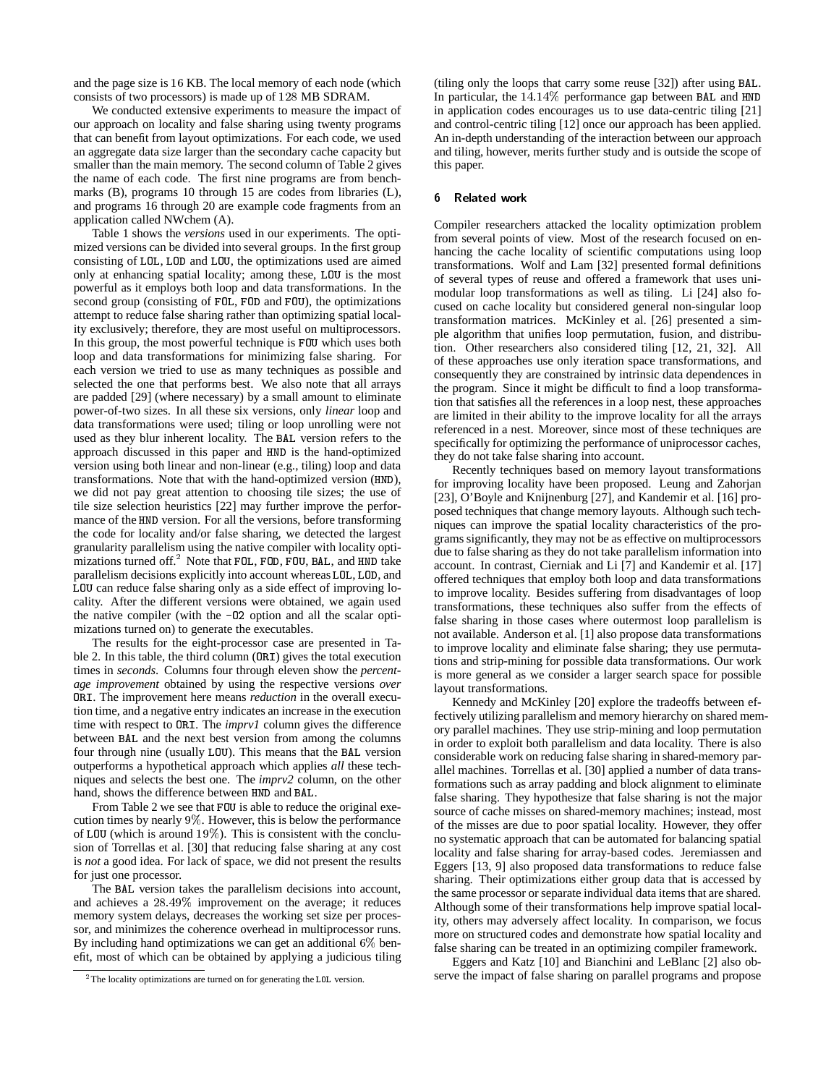and the page size is <sup>16</sup> KB. The local memory of each node (which consists of two processors) is made up of <sup>128</sup> MB SDRAM.

We conducted extensive experiments to measure the impact of our approach on locality and false sharing using twenty programs that can benefit from layout optimizations. For each code, we used an aggregate data size larger than the secondary cache capacity but smaller than the main memory. The second column of Table 2 gives the name of each code. The first nine programs are from benchmarks (B), programs 10 through 15 are codes from libraries (L), and programs 16 through 20 are example code fragments from an application called NWchem (A).

Table 1 shows the *versions* used in our experiments. The optimized versions can be divided into several groups. In the first group consisting of LOL, LOD and LOU, the optimizations used are aimed only at enhancing spatial locality; among these, LOU is the most powerful as it employs both loop and data transformations. In the second group (consisting of FOL, FOD and FOU), the optimizations attempt to reduce false sharing rather than optimizing spatial locality exclusively; therefore, they are most useful on multiprocessors. In this group, the most powerful technique is FOU which uses both loop and data transformations for minimizing false sharing. For each version we tried to use as many techniques as possible and selected the one that performs best. We also note that all arrays are padded [29] (where necessary) by a small amount to eliminate power-of-two sizes. In all these six versions, only *linear* loop and data transformations were used; tiling or loop unrolling were not used as they blur inherent locality. The BAL version refers to the approach discussed in this paper and HND is the hand-optimized version using both linear and non-linear (e.g., tiling) loop and data transformations. Note that with the hand-optimized version (HND), we did not pay great attention to choosing tile sizes; the use of tile size selection heuristics [22] may further improve the performance of the HND version. For all the versions, before transforming the code for locality and/or false sharing, we detected the largest granularity parallelism using the native compiler with locality optimizations turned off.<sup>2</sup> Note that FOL, FOD, FOU, BAL, and HND take parallelism decisions explicitly into account whereas LOL, LOD, and LOU can reduce false sharing only as a side effect of improving locality. After the different versions were obtained, we again used the native compiler (with the -O2 option and all the scalar optimizations turned on) to generate the executables.

The results for the eight-processor case are presented in Table 2. In this table, the third column (ORI) gives the total execution times in *seconds*. Columns four through eleven show the *percentage improvement* obtained by using the respective versions *over* ORI. The improvement here means *reduction* in the overall execution time, and a negative entry indicates an increase in the execution time with respect to ORI. The *imprv1* column gives the difference between BAL and the next best version from among the columns four through nine (usually LOU). This means that the BAL version outperforms a hypothetical approach which applies *all* these techniques and selects the best one. The *imprv2* column, on the other hand, shows the difference between HND and BAL.

From Table 2 we see that FOU is able to reduce the original execution times by nearly 9%. However, this is below the performance of LOU (which is around 19%). This is consistent with the conclusion of Torrellas et al. [30] that reducing false sharing at any cost is *not* a good idea. For lack of space, we did not present the results for just one processor.

The BAL version takes the parallelism decisions into account, and achieves a 28:49% improvement on the average; it reduces memory system delays, decreases the working set size per processor, and minimizes the coherence overhead in multiprocessor runs. By including hand optimizations we can get an additional 6% benefit, most of which can be obtained by applying a judicious tiling (tiling only the loops that carry some reuse [32]) after using BAL. In particular, the 14:14% performance gap between BAL and HND in application codes encourages us to use data-centric tiling [21] and control-centric tiling [12] once our approach has been applied. An in-depth understanding of the interaction between our approach and tiling, however, merits further study and is outside the scope of this paper.

#### 6 6 Related work

Compiler researchers attacked the locality optimization problem from several points of view. Most of the research focused on enhancing the cache locality of scientific computations using loop transformations. Wolf and Lam [32] presented formal definitions of several types of reuse and offered a framework that uses unimodular loop transformations as well as tiling. Li [24] also focused on cache locality but considered general non-singular loop transformation matrices. McKinley et al. [26] presented a simple algorithm that unifies loop permutation, fusion, and distribution. Other researchers also considered tiling [12, 21, 32]. All of these approaches use only iteration space transformations, and consequently they are constrained by intrinsic data dependences in the program. Since it might be difficult to find a loop transformation that satisfies all the references in a loop nest, these approaches are limited in their ability to the improve locality for all the arrays referenced in a nest. Moreover, since most of these techniques are specifically for optimizing the performance of uniprocessor caches, they do not take false sharing into account.

Recently techniques based on memory layout transformations for improving locality have been proposed. Leung and Zahorjan [23], O'Boyle and Knijnenburg [27], and Kandemir et al. [16] proposed techniques that change memory layouts. Although such techniques can improve the spatial locality characteristics of the programs significantly, they may not be as effective on multiprocessors due to false sharing as they do not take parallelism information into account. In contrast, Cierniak and Li [7] and Kandemir et al. [17] offered techniques that employ both loop and data transformations to improve locality. Besides suffering from disadvantages of loop transformations, these techniques also suffer from the effects of false sharing in those cases where outermost loop parallelism is not available. Anderson et al. [1] also propose data transformations to improve locality and eliminate false sharing; they use permutations and strip-mining for possible data transformations. Our work is more general as we consider a larger search space for possible layout transformations.

Kennedy and McKinley [20] explore the tradeoffs between effectively utilizing parallelism and memory hierarchy on shared memory parallel machines. They use strip-mining and loop permutation in order to exploit both parallelism and data locality. There is also considerable work on reducing false sharing in shared-memory parallel machines. Torrellas et al. [30] applied a number of data transformations such as array padding and block alignment to eliminate false sharing. They hypothesize that false sharing is not the major source of cache misses on shared-memory machines; instead, most of the misses are due to poor spatial locality. However, they offer no systematic approach that can be automated for balancing spatial locality and false sharing for array-based codes. Jeremiassen and Eggers [13, 9] also proposed data transformations to reduce false sharing. Their optimizations either group data that is accessed by the same processor or separate individual data items that are shared. Although some of their transformations help improve spatial locality, others may adversely affect locality. In comparison, we focus more on structured codes and demonstrate how spatial locality and false sharing can be treated in an optimizing compiler framework.

Eggers and Katz [10] and Bianchini and LeBlanc [2] also observe the impact of false sharing on parallel programs and propose

<sup>&</sup>lt;sup>2</sup>The locality optimizations are turned on for generating the L0L version.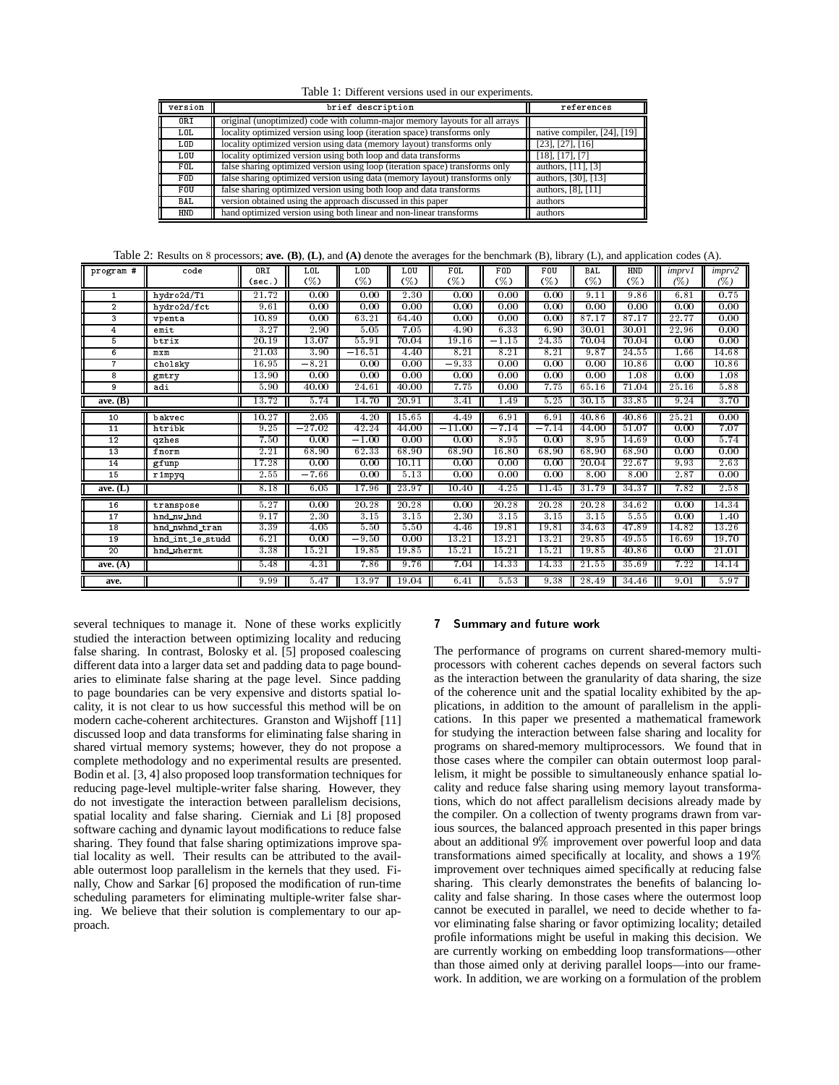Table 1: Different versions used in our experiments.

| version    | brief description                                                            | references                  |
|------------|------------------------------------------------------------------------------|-----------------------------|
| ORI        | original (unoptimized) code with column-major memory layouts for all arrays  |                             |
| LOL        | locality optimized version using loop (iteration space) transforms only      | native compiler, [24], [19] |
| LOD.       | locality optimized version using data (memory layout) transforms only        | $[23]$ , $[27]$ , $[16]$    |
| LOU.       | locality optimized version using both loop and data transforms               | $[18]$ , $[17]$ , $[7]$     |
| FOL.       | false sharing optimized version using loop (iteration space) transforms only | authors, [11], [3]          |
| FOD.       | false sharing optimized version using data (memory layout) transforms only   | authors, [30], [13]         |
| F0U        | false sharing optimized version using both loop and data transforms          | authors, [8], [11]          |
| <b>BAL</b> | version obtained using the approach discussed in this paper                  | authors                     |
| HND        | hand optimized version using both linear and non-linear transforms           | authors                     |

Table 2: Results on <sup>8</sup> processors; **ave. (B)**, **(L)**, and **(A)** denote the averages for the benchmark (B), library (L), and application codes (A).

| program #      | code             | OR I  | LOL      | L0D      | L <sub>0</sub> U | FOL.     | F <sub>0</sub> D | F <sub>0</sub> U | <b>BAL</b> | HND                | <i>imprv1</i> | imprv2 |
|----------------|------------------|-------|----------|----------|------------------|----------|------------------|------------------|------------|--------------------|---------------|--------|
|                |                  | sec.) | $(\%)$   | $(\%)$   | $(\%)$           | $(\%)$   | $(\%)$           | $(\%)$           | $(\%)$     | $(\%)$             | (%)           | (%)    |
|                | hydro2d/T1       | 21.72 | 0.00     | 0.00     | 2.30             | 0.00     | 0.00             | 0.00             | 9.11       | 9.86               | 6.81          | 0.75   |
| $\overline{2}$ | hydro2d/fct      | 9.61  | 0.00     | 0.00     | 0.00             | 0.00     | 0.00             | 0.00             | 0.00       | 0.00               | 0.00          | 0.00   |
| 3              | vpenta           | 10.89 | 0.00     | 63.21    | 64.40            | 0.00     | 0.00             | 0.00             | 87.17      | 87.17              | 22.77         | 0.00   |
| 4              | emit             | 3.27  | 2.90     | 5.05     | 7.05             | 4.90     | 6.33             | 6.90             | 30.01      | 30.01              | 22.96         | 0.00   |
| 5              | btrix            | 20.19 | 13.07    | 55.91    | 70.04            | 19.16    | $-1.15$          | 24.35            | 70.04      | 70.04              | 0.00          | 0.00   |
| 6              | mxm              | 21.03 | 3.90     | $-16.51$ | 4.40             | 8.21     | 8.21             | 8.21             | 9.87       | 24.55              | 1.66          | 14.68  |
| $\overline{7}$ | cholsky          | 16.95 | $-8.21$  | 0.00     | 0.00             | $-9.33$  | 0.00             | 0.00             | 0.00       | $10.\overline{86}$ | 0.00          | 10.86  |
| 8              | gmtry            | 13.90 | 0.00     | 0.00     | 0.00             | 0.00     | 0.00             | 0.00             | 0.00       | 1.08               | 0.00          | 1.08   |
| 9              | adi              | 5.90  | 40.00    | 24.61    | 40.00            | 7.75     | 0.00             | 7.75             | 65.16      | 71.04              | 25.16         | 5.88   |
| ave. $(B)$     |                  | 13.72 | 5.74     | 14.70    | 20.91            | 3.41     | 1.49             | 5.25             | 30.15      | 33.85              | 9.24          | 3.70   |
| 10             | bakvec           | 10.27 | 2.05     | 4.20     | 15.65            | 4.49     | 6.91             | 6.91             | 40.86      | 40.86              | 25.21         | 0.00   |
| 11             | htribk           | 9.25  | $-27.02$ | 42.24    | 44.00            | $-11.00$ | $-7.14$          | $-7.14$          | 44.00      | 51.07              | 0.00          | 7.07   |
| 12             | qzhes            | 7.50  | 0.00     | $-1.00$  | 0.00             | 0.00     | 8.95             | 0.00             | 8.95       | 14.69              | 0.00          | 5.74   |
| 13             | fnorm            | 2.21  | 68.90    | 62.33    | 68.90            | 68.90    | 16.80            | 68.90            | 68.90      | 68.90              | 0.00          | 0.00   |
| 14             | gfunp            | 17.28 | 0.00     | 0.00     | 10.11            | 0.00     | 0.00             | 0.00             | 20.04      | 22.67              | 9.93          | 2.63   |
| 15             | rimpyq           | 2.55  | $-7.66$  | 0.00     | 5.13             | 0.00     | 0.00             | 0.00             | 8.00       | 8.00               | 2.87          | 0.00   |
| ave. $(L)$     |                  | 8.18  | 6.05     | 17.96    | 23.97            | 10.40    | 4.25             | 11.45            | 31.79      | 34.37              | 7.82          | 2.58   |
| 16             | transpose        | 5.27  | 0.00     | 20.28    | 20.28            | 0.00     | 20.28            | 20.28            | 20.28      | 34.62              | 0.00          | 14.34  |
| 17             | hnd_nw_hnd       | 9.17  | 2.30     | 3.15     | 3.15             | 2.30     | 3.15             | 3.15             | 3.15       | 5.55               | 0.00          | 1.40   |
| 18             | hnd_nwhnd_tran   | 3.39  | 4.05     | 5.50     | 5.50             | 4.46     | 19.81            | 19.81            | 34.63      | 47.89              | 14.82         | 13.26  |
| 19             | hnd_int_1e_studd | 6.21  | 0.00     | $-9.50$  | 0.00             | 13.21    | 13.21            | 13.21            | 29.85      | 49.55              | 16.69         | 19.70  |
| 20             | hnd_whermt       | 3.38  | 15.21    | 19.85    | 19.85            | 15.21    | 15.21            | 15.21            | 19.85      | 40.86              | 0.00          | 21.01  |
| ave. $(A)$     |                  | 5.48  | 4.31     | 7.86     | 9.76             | 7.04     | 14.33            | 14.33            | 21.55      | 35.69              | 7.22          | 14.14  |
| ave.           |                  | 9.99  | 5.47     | 13.97    | 19.04            | 6.41     | 5.53             | 9.38             | 28.49      | 34.46              | 9.01          | 5.97   |

several techniques to manage it. None of these works explicitly studied the interaction between optimizing locality and reducing false sharing. In contrast, Bolosky et al. [5] proposed coalescing different data into a larger data set and padding data to page boundaries to eliminate false sharing at the page level. Since padding to page boundaries can be very expensive and distorts spatial locality, it is not clear to us how successful this method will be on modern cache-coherent architectures. Granston and Wijshoff [11] discussed loop and data transforms for eliminating false sharing in shared virtual memory systems; however, they do not propose a complete methodology and no experimental results are presented. Bodin et al. [3, 4] also proposed loop transformation techniques for reducing page-level multiple-writer false sharing. However, they do not investigate the interaction between parallelism decisions, spatial locality and false sharing. Cierniak and Li [8] proposed software caching and dynamic layout modifications to reduce false sharing. They found that false sharing optimizations improve spatial locality as well. Their results can be attributed to the available outermost loop parallelism in the kernels that they used. Finally, Chow and Sarkar [6] proposed the modification of run-time scheduling parameters for eliminating multiple-writer false sharing. We believe that their solution is complementary to our approach.

### 7 Summary and future work

The performance of programs on current shared-memory multiprocessors with coherent caches depends on several factors such as the interaction between the granularity of data sharing, the size of the coherence unit and the spatial locality exhibited by the applications, in addition to the amount of parallelism in the applications. In this paper we presented a mathematical framework for studying the interaction between false sharing and locality for programs on shared-memory multiprocessors. We found that in those cases where the compiler can obtain outermost loop parallelism, it might be possible to simultaneously enhance spatial locality and reduce false sharing using memory layout transformations, which do not affect parallelism decisions already made by the compiler. On a collection of twenty programs drawn from various sources, the balanced approach presented in this paper brings about an additional 9% improvement over powerful loop and data transformations aimed specifically at locality, and shows a 19% improvement over techniques aimed specifically at reducing false sharing. This clearly demonstrates the benefits of balancing locality and false sharing. In those cases where the outermost loop cannot be executed in parallel, we need to decide whether to favor eliminating false sharing or favor optimizing locality; detailed profile informations might be useful in making this decision. We are currently working on embedding loop transformations—other than those aimed only at deriving parallel loops—into our framework. In addition, we are working on a formulation of the problem